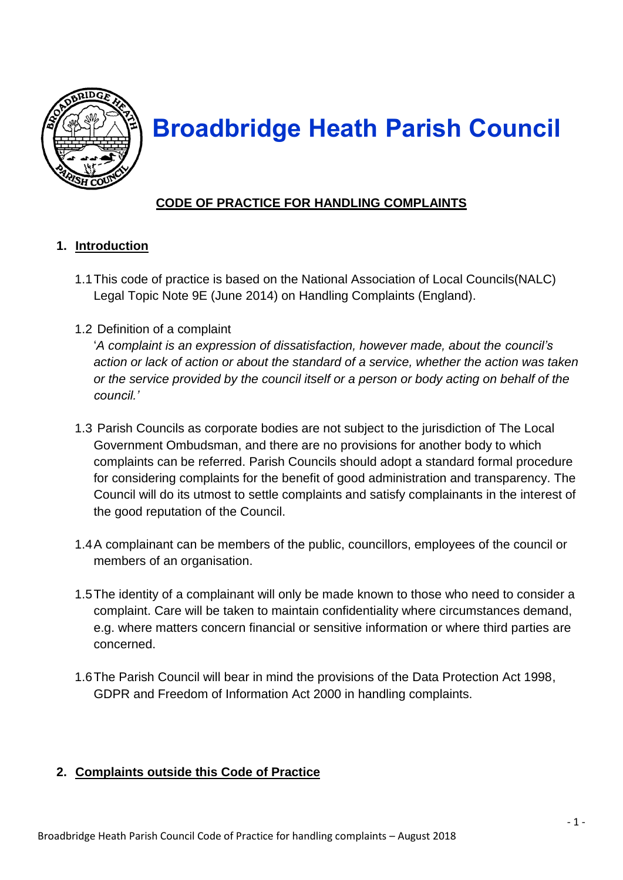

# **Broadbridge Heath Parish Council**

## **CODE OF PRACTICE FOR HANDLING COMPLAINTS**

#### **1. Introduction**

- 1.1This code of practice is based on the National Association of Local Councils(NALC) Legal Topic Note 9E (June 2014) on Handling Complaints (England).
- 1.2 Definition of a complaint

'*A complaint is an expression of dissatisfaction, however made, about the council's action or lack of action or about the standard of a service, whether the action was taken or the service provided by the council itself or a person or body acting on behalf of the council.'*

- 1.3 Parish Councils as corporate bodies are not subject to the jurisdiction of The Local Government Ombudsman, and there are no provisions for another body to which complaints can be referred. Parish Councils should adopt a standard formal procedure for considering complaints for the benefit of good administration and transparency. The Council will do its utmost to settle complaints and satisfy complainants in the interest of the good reputation of the Council.
- 1.4A complainant can be members of the public, councillors, employees of the council or members of an organisation.
- 1.5The identity of a complainant will only be made known to those who need to consider a complaint. Care will be taken to maintain confidentiality where circumstances demand, e.g. where matters concern financial or sensitive information or where third parties are concerned.
- 1.6The Parish Council will bear in mind the provisions of the Data Protection Act 1998, GDPR and Freedom of Information Act 2000 in handling complaints.

### **2. Complaints outside this Code of Practice**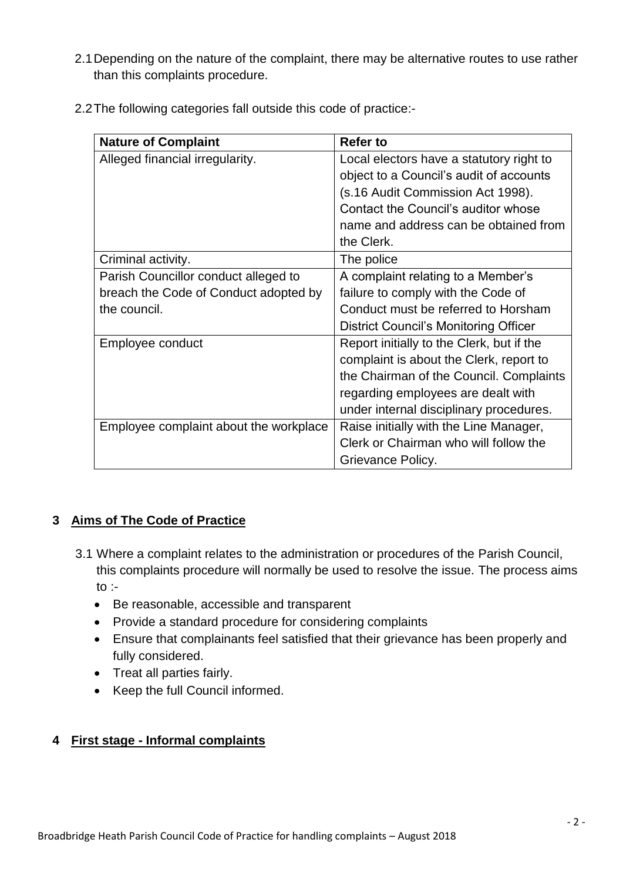2.1Depending on the nature of the complaint, there may be alternative routes to use rather than this complaints procedure.

| <b>Nature of Complaint</b>             | <b>Refer to</b>                           |
|----------------------------------------|-------------------------------------------|
| Alleged financial irregularity.        | Local electors have a statutory right to  |
|                                        | object to a Council's audit of accounts   |
|                                        | (s.16 Audit Commission Act 1998).         |
|                                        | Contact the Council's auditor whose       |
|                                        | name and address can be obtained from     |
|                                        | the Clerk.                                |
| Criminal activity.                     | The police                                |
| Parish Councillor conduct alleged to   | A complaint relating to a Member's        |
| breach the Code of Conduct adopted by  | failure to comply with the Code of        |
| the council.                           | Conduct must be referred to Horsham       |
|                                        | District Council's Monitoring Officer     |
| Employee conduct                       | Report initially to the Clerk, but if the |
|                                        | complaint is about the Clerk, report to   |
|                                        | the Chairman of the Council. Complaints   |
|                                        | regarding employees are dealt with        |
|                                        | under internal disciplinary procedures.   |
| Employee complaint about the workplace | Raise initially with the Line Manager,    |
|                                        | Clerk or Chairman who will follow the     |
|                                        | Grievance Policy.                         |

#### **3 Aims of The Code of Practice**

- 3.1 Where a complaint relates to the administration or procedures of the Parish Council, this complaints procedure will normally be used to resolve the issue. The process aims to :-
	- Be reasonable, accessible and transparent
	- Provide a standard procedure for considering complaints
	- Ensure that complainants feel satisfied that their grievance has been properly and fully considered.
	- Treat all parties fairly.
	- Keep the full Council informed.

#### **4 First stage - Informal complaints**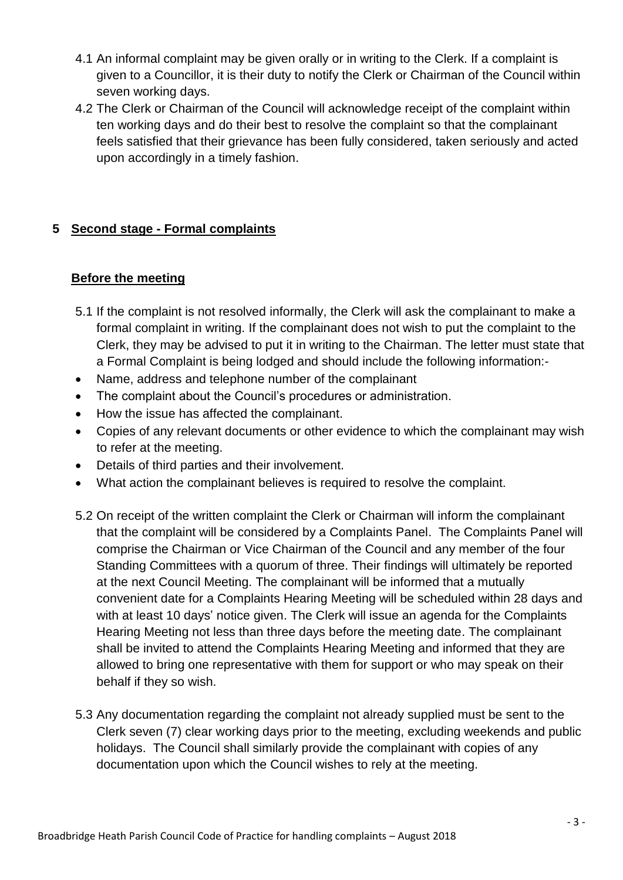- 4.1 An informal complaint may be given orally or in writing to the Clerk. If a complaint is given to a Councillor, it is their duty to notify the Clerk or Chairman of the Council within seven working days.
- 4.2 The Clerk or Chairman of the Council will acknowledge receipt of the complaint within ten working days and do their best to resolve the complaint so that the complainant feels satisfied that their grievance has been fully considered, taken seriously and acted upon accordingly in a timely fashion.

#### **5 Second stage - Formal complaints**

#### **Before the meeting**

- 5.1 If the complaint is not resolved informally, the Clerk will ask the complainant to make a formal complaint in writing. If the complainant does not wish to put the complaint to the Clerk, they may be advised to put it in writing to the Chairman. The letter must state that a Formal Complaint is being lodged and should include the following information:-
- Name, address and telephone number of the complainant
- The complaint about the Council's procedures or administration.
- How the issue has affected the complainant.
- Copies of any relevant documents or other evidence to which the complainant may wish to refer at the meeting.
- Details of third parties and their involvement.
- What action the complainant believes is required to resolve the complaint.
- 5.2 On receipt of the written complaint the Clerk or Chairman will inform the complainant that the complaint will be considered by a Complaints Panel. The Complaints Panel will comprise the Chairman or Vice Chairman of the Council and any member of the four Standing Committees with a quorum of three. Their findings will ultimately be reported at the next Council Meeting. The complainant will be informed that a mutually convenient date for a Complaints Hearing Meeting will be scheduled within 28 days and with at least 10 days' notice given. The Clerk will issue an agenda for the Complaints Hearing Meeting not less than three days before the meeting date. The complainant shall be invited to attend the Complaints Hearing Meeting and informed that they are allowed to bring one representative with them for support or who may speak on their behalf if they so wish.
- 5.3 Any documentation regarding the complaint not already supplied must be sent to the Clerk seven (7) clear working days prior to the meeting, excluding weekends and public holidays. The Council shall similarly provide the complainant with copies of any documentation upon which the Council wishes to rely at the meeting.